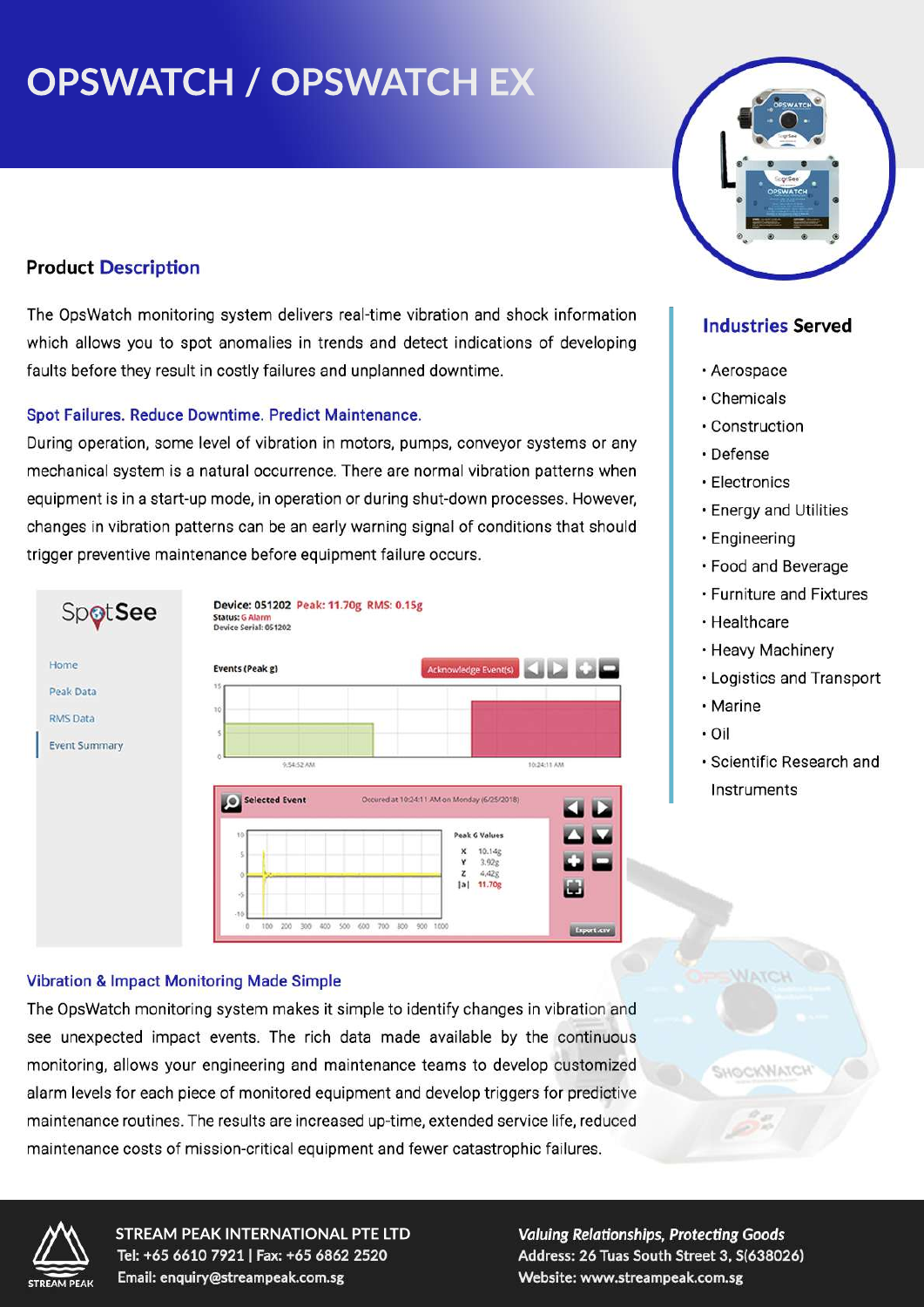# **OPSWATCH / OPSWATCH EX**

# **Product Description**

The OpsWatch monitoring system delivers real-time vibration and shock information which allows you to spot anomalies in trends and detect indications of developing faults before they result in costly failures and unplanned downtime.

#### Spot Failures. Reduce Downtime. Predict Maintenance.

During operation, some level of vibration in motors, pumps, conveyor systems or any mechanical system is a natural occurrence. There are normal vibration patterns when equipment is in a start-up mode, in operation or during shut-down processes. However, changes in vibration patterns can be an early warning signal of conditions that should trigger preventive maintenance before equipment failure occurs.



#### **Vibration & Impact Monitoring Made Simple**

The OpsWatch monitoring system makes it simple to identify changes in vibration and see unexpected impact events. The rich data made available by the continuous monitoring, allows your engineering and maintenance teams to develop customized alarm levels for each piece of monitored equipment and develop triggers for predictive maintenance routines. The results are increased up-time, extended service life, reduced maintenance costs of mission-critical equipment and fewer catastrophic failures.



## **Industries Served**

- · Aerospace
- Chemicals
- · Construction
- · Defense
- · Electronics
- **· Energy and Utilities**
- · Engineering
- Food and Beverage
- · Furniture and Fixtures
- Healthcare
- Heavy Machinery
- Logistics and Transport
- Marine
- $\cdot$  Oil
- · Scientific Research and Instruments

WATCH

HOTALUVOALIS



**STREAM PEAK INTERNATIONAL PTE LTD** Tel: +65 6610 7921 | Fax: +65 6862 2520 Email: enquiry@streampeak.com.sg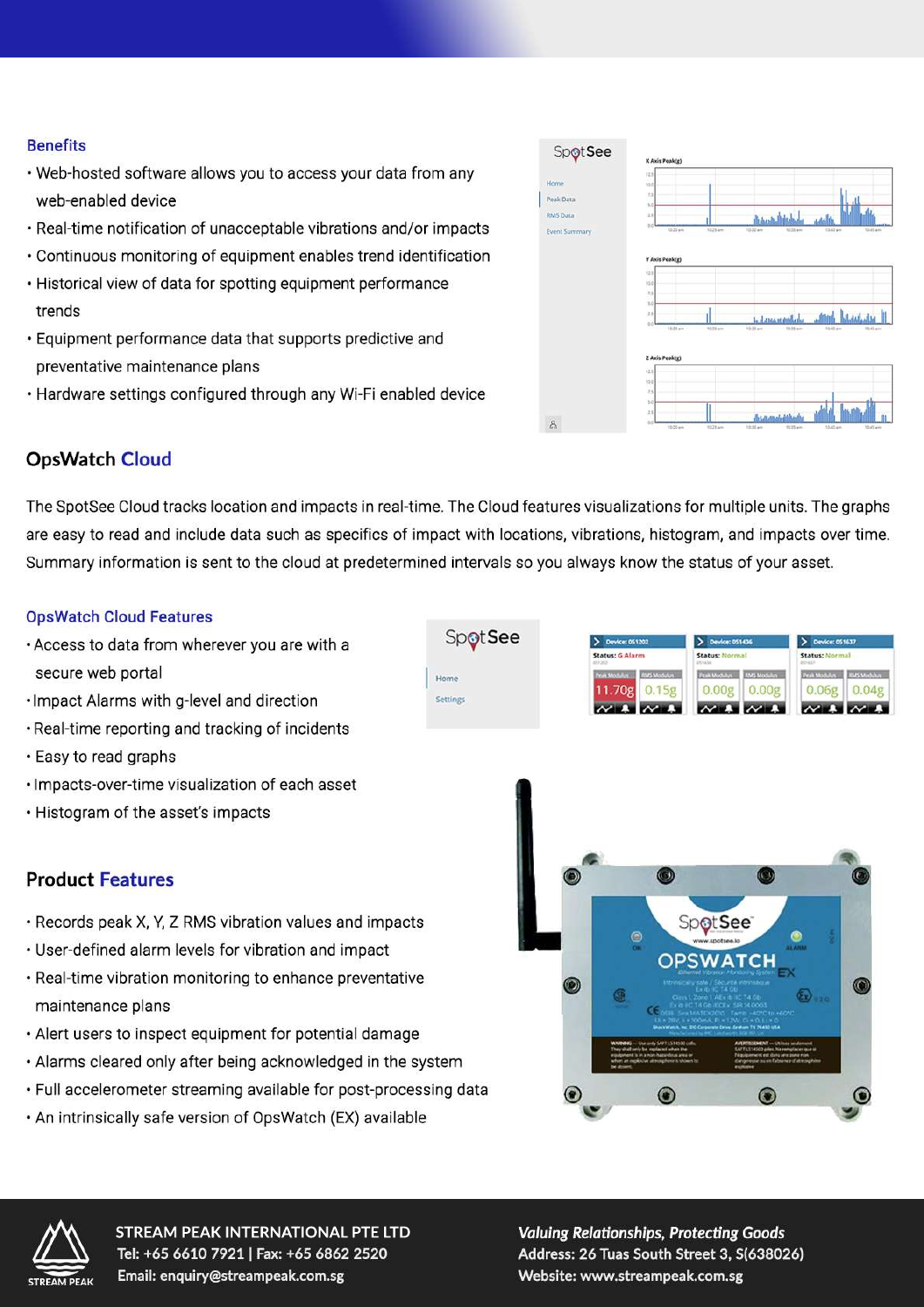#### **Benefits**

- . Web-hosted software allows you to access your data from any web-enabled device
- · Real-time notification of unacceptable vibrations and/or impacts
- Continuous monitoring of equipment enables trend identification
- Historical view of data for spotting equipment performance trends
- · Equipment performance data that supports predictive and preventative maintenance plans
- Hardware settings configured through any Wi-Fi enabled device



# **OpsWatch Cloud**

The SpotSee Cloud tracks location and impacts in real-time. The Cloud features visualizations for multiple units. The graphs are easy to read and include data such as specifics of impact with locations, vibrations, histogram, and impacts over time. Summary information is sent to the cloud at predetermined intervals so you always know the status of your asset.

Home

#### **OpsWatch Cloud Features**

- . Access to data from wherever you are with a secure web portal
- · Impact Alarms with g-level and direction
- . Real-time reporting and tracking of incidents
- · Easy to read graphs
- · Impacts-over-time visualization of each asset
- . Histogram of the asset's impacts

## **Product Features**

- · Records peak X, Y, Z RMS vibration values and impacts
- User-defined alarm levels for vibration and impact
- · Real-time vibration monitoring to enhance preventative maintenance plans
- Alert users to inspect equipment for potential damage
- Alarms cleared only after being acknowledged in the system
- · Full accelerometer streaming available for post-processing data
- . An intrinsically safe version of OpsWatch (EX) available







**STREAM PEAK INTERNATIONAL PTE LTD** Tel: +65 6610 7921 | Fax: +65 6862 2520 Email: enquiry@streampeak.com.sg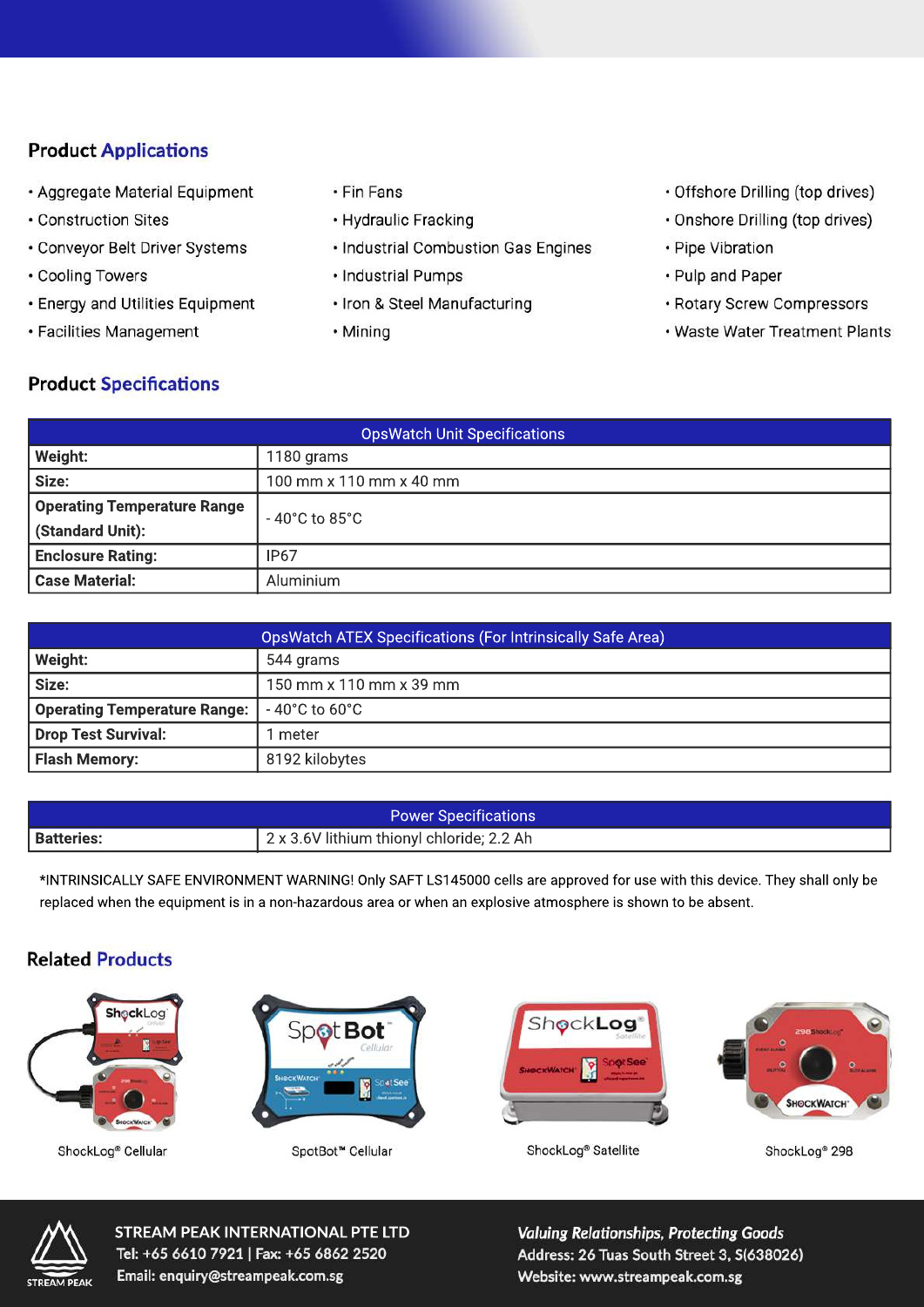# **Product Applications**

- · Aggregate Material Equipment
- Construction Sites
- · Conveyor Belt Driver Systems
- Cooling Towers
- Energy and Utilities Equipment
- · Facilities Management
- Fin Fans
- Hydraulic Fracking
- · Industrial Combustion Gas Engines
- · Industrial Pumps
- · Iron & Steel Manufacturing
- · Mining
- · Offshore Drilling (top drives)
- · Onshore Drilling (top drives)
- · Pipe Vibration
- · Pulp and Paper
- · Rotary Screw Compressors
- · Waste Water Treatment Plants

## **Product Specifications**

| <b>OpsWatch Unit Specifications</b> |                                        |  |
|-------------------------------------|----------------------------------------|--|
| Weight:                             | 1180 grams                             |  |
| Size:                               | 100 mm x 110 mm x 40 mm                |  |
| Operating Temperature Range         | $-40^{\circ}$ C to 85 $^{\circ}$ C $-$ |  |
| (Standard Unit):                    |                                        |  |
| <b>Enclosure Rating:</b>            | IP <sub>67</sub>                       |  |
| Case Material:                      | Aluminium                              |  |

| <b>OpsWatch ATEX Specifications (For Intrinsically Safe Area)</b> |                                    |
|-------------------------------------------------------------------|------------------------------------|
| Weight:                                                           | 544 grams                          |
| Size:                                                             | 150 mm x 110 mm x 39 mm            |
| <b>Operating Temperature Range:</b>                               | $-40^{\circ}$ C to 60 $^{\circ}$ C |
| <b>Drop Test Survival:</b>                                        | meter                              |
| <b>Flash Memory:</b>                                              | 8192 kilobytes                     |

| <b>Power Specifications</b> |                                           |
|-----------------------------|-------------------------------------------|
| <b>Batteries:</b>           | 2 x 3.6V lithium thionyl chloride; 2.2 Ah |

\*INTRINSICALLY SAFE ENVIRONMENT WARNING! Only SAFT LS145000 cells are approved for use with this device. They shall only be replaced when the equipment is in a non-hazardous area or when an explosive atmosphere is shown to be absent.

## **Related Products**



ShockLog® Cellular



SpotBot<sup>™</sup> Cellular





ShockLog<sup>®</sup> Satellite

ShockLog<sup>®</sup> 298



**STREAM PEAK INTERNATIONAL PTE LTD** Tel: +65 6610 7921 | Fax: +65 6862 2520 Email: enquiry@streampeak.com.sg